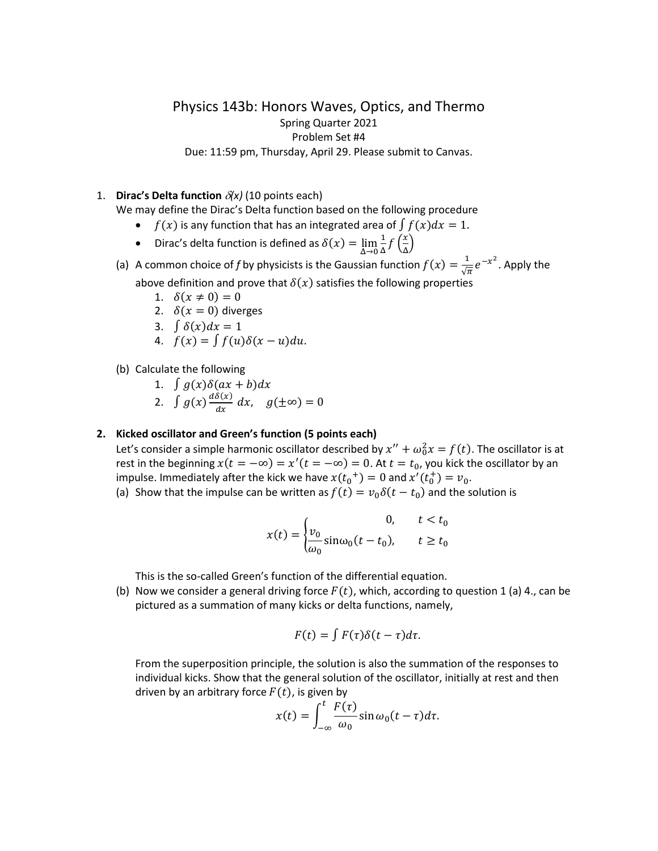# Physics 143b: Honors Waves, Optics, and Thermo Spring Quarter 2021 Problem Set #4 Due: 11:59 pm, Thursday, April 29. Please submit to Canvas.

## 1. **Dirac's Delta function** <sup>δ</sup>*(x)* (10 points each)

We may define the Dirac's Delta function based on the following procedure

- $f(x)$  is any function that has an integrated area of  $\int f(x) dx = 1$ .
- Dirac's delta function is defined as  $\delta(x) = \lim_{\Delta \to 0}$  $\frac{1}{\Delta} f\left(\frac{x}{\Delta}\right)$ Δ �
- (a) A common choice of *f* by physicists is the Gaussian function  $f(x) = \frac{1}{\sqrt{\pi}} e^{-x^2}$ . Apply the

above definition and prove that  $\delta(x)$  satisfies the following properties

- 1.  $\delta(x \neq 0) = 0$
- 2.  $\delta(x = 0)$  diverges
- 3.  $\int \delta(x) dx = 1$

4. 
$$
f(x) = \int f(u)\delta(x-u)du.
$$

- (b) Calculate the following
	- 1.  $\int g(x)\delta(ax+b)dx$ 2.  $\int g(x) \frac{d\delta(x)}{dx} dx$ ,  $g(\pm \infty) = 0$

#### **2. Kicked oscillator and Green's function (5 points each)**

Let's consider a simple harmonic oscillator described by  $x'' + \omega_0^2 x = f(t)$ . The oscillator is at rest in the beginning  $x(t = -\infty) = x'(t = -\infty) = 0$ . At  $t = t_0$ , you kick the oscillator by an impulse. Immediately after the kick we have  $x(t_0^+)=0$  and  $x'(t_0^+)=v_0$ .

(a) Show that the impulse can be written as  $f(t) = v_0 \delta(t - t_0)$  and the solution is

$$
x(t) = \begin{cases} v_0 & t < t_0 \\ \frac{\nu_0}{\omega_0} \sin \omega_0 (t - t_0), & t \ge t_0 \end{cases}
$$

This is the so-called Green's function of the differential equation.

(b) Now we consider a general driving force  $F(t)$ , which, according to question 1 (a) 4., can be pictured as a summation of many kicks or delta functions, namely,

$$
F(t) = \int F(\tau) \delta(t - \tau) d\tau.
$$

From the superposition principle, the solution is also the summation of the responses to individual kicks. Show that the general solution of the oscillator, initially at rest and then driven by an arbitrary force  $F(t)$ , is given by

$$
x(t) = \int_{-\infty}^{t} \frac{F(\tau)}{\omega_0} \sin \omega_0 (t - \tau) d\tau.
$$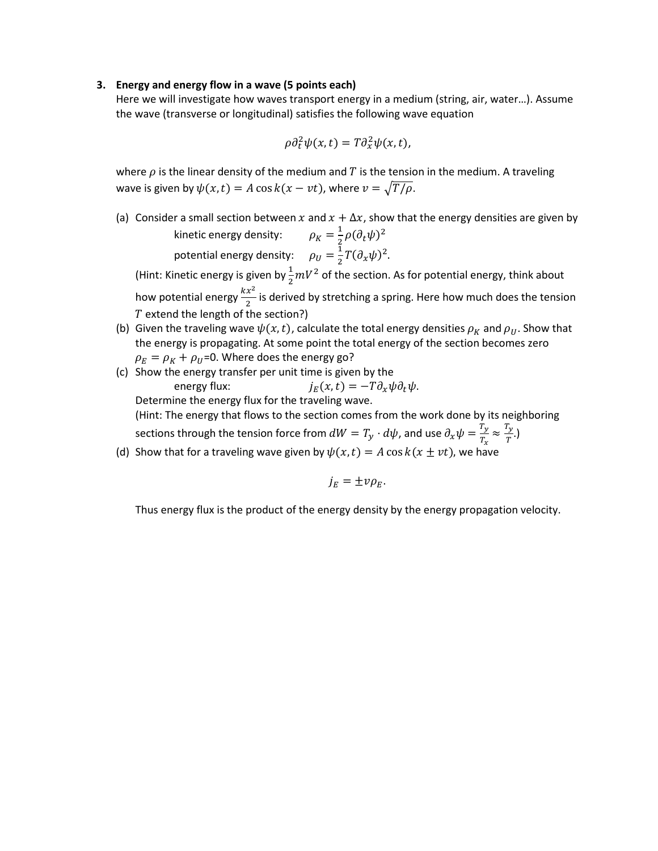#### **3. Energy and energy flow in a wave (5 points each)**

Here we will investigate how waves transport energy in a medium (string, air, water…). Assume the wave (transverse or longitudinal) satisfies the following wave equation

$$
\rho \partial_t^2 \psi(x,t) = T \partial_x^2 \psi(x,t),
$$

where  $\rho$  is the linear density of the medium and T is the tension in the medium. A traveling wave is given by  $\psi(x,t) = A \cos k(x - vt)$ , where  $v = \sqrt{T/\rho}$ .

(a) Consider a small section between x and  $x + \Delta x$ , show that the energy densities are given by kinetic energy density:  $\rho_K = \frac{1}{2} \rho (\partial_t \psi)^2$ 

potential energy density:  $\rho_U = \frac{1}{2} T (\partial_x \psi)^2$ .

(Hint: Kinetic energy is given by  $\frac{1}{2} mV^2$  of the section. As for potential energy, think about how potential energy  $\frac{kx^2}{2}$  is derived by stretching a spring. Here how much does the tension  $\overline{T}$  extend the length of the section?)

- (b) Given the traveling wave  $\psi(x,t)$ , calculate the total energy densities  $\rho_K$  and  $\rho_U$ . Show that the energy is propagating. At some point the total energy of the section becomes zero  $\rho_E = \rho_K + \rho_U$ =0. Where does the energy go?
- (c) Show the energy transfer per unit time is given by the energy flux:  $j_F(x,t) = -T \partial_x \psi \partial_t \psi$ . Determine the energy flux for the traveling wave. (Hint: The energy that flows to the section comes from the work done by its neighboring sections through the tension force from  $dW = T_y \cdot d\psi$ , and use  $\partial_x \psi = \frac{T_y}{T_x} \approx \frac{T_y}{T}$ .)
- (d) Show that for a traveling wave given by  $\psi(x,t) = A \cos k(x \pm vt)$ , we have

$$
j_E=\pm\nu\rho_E.
$$

Thus energy flux is the product of the energy density by the energy propagation velocity.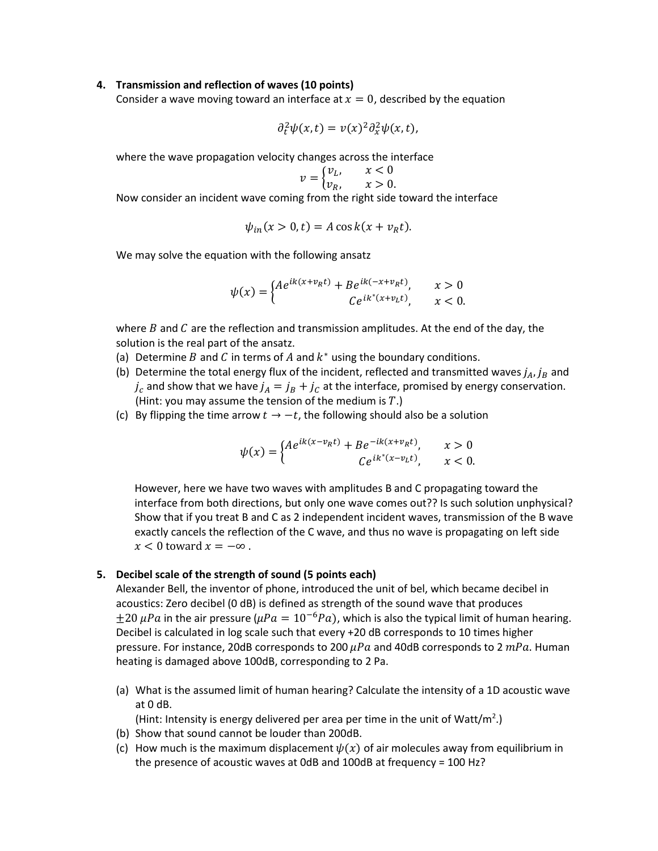#### **4. Transmission and reflection of waves (10 points)**

Consider a wave moving toward an interface at  $x = 0$ , described by the equation

$$
\partial_t^2 \psi(x,t) = v(x)^2 \partial_x^2 \psi(x,t),
$$

where the wave propagation velocity changes across the interface

$$
v = \begin{cases} v_L, & x < 0 \\ v_R, & x > 0. \end{cases}
$$

Now consider an incident wave coming from the right side toward the interface

$$
\psi_{in}(x>0,t)=A\cos k(x+\nu_R t).
$$

We may solve the equation with the following ansatz

$$
\psi(x) = \begin{cases} Ae^{ik(x+\nu_R t)} + Be^{ik(-x+\nu_R t)}, & x > 0\\ Ce^{ik^*(x+\nu_L t)}, & x < 0. \end{cases}
$$

where B and C are the reflection and transmission amplitudes. At the end of the day, the solution is the real part of the ansatz.

- (a) Determine B and C in terms of A and  $k^*$  using the boundary conditions.
- (b) Determine the total energy flux of the incident, reflected and transmitted waves  $j_A$ ,  $j_B$  and  $j_c$  and show that we have  $j_A = j_B + j_c$  at the interface, promised by energy conservation. (Hint: you may assume the tension of the medium is  $T$ .)
- (c) By flipping the time arrow  $t \to -t$ , the following should also be a solution

$$
\psi(x) = \begin{cases} A e^{ik(x - v_R t)} + B e^{-ik(x + v_R t)}, & x > 0 \\ C e^{ik^*(x - v_L t)}, & x < 0. \end{cases}
$$

However, here we have two waves with amplitudes B and C propagating toward the interface from both directions, but only one wave comes out?? Is such solution unphysical? Show that if you treat B and C as 2 independent incident waves, transmission of the B wave exactly cancels the reflection of the C wave, and thus no wave is propagating on left side  $x < 0$  toward  $x = -\infty$ .

### **5. Decibel scale of the strength of sound (5 points each)**

Alexander Bell, the inventor of phone, introduced the unit of bel, which became decibel in acoustics: Zero decibel (0 dB) is defined as strength of the sound wave that produces  $\pm 20 \,\mu Pa$  in the air pressure ( $\mu Pa = 10^{-6} Pa$ ), which is also the typical limit of human hearing. Decibel is calculated in log scale such that every +20 dB corresponds to 10 times higher pressure. For instance, 20dB corresponds to 200  $\mu Pa$  and 40dB corresponds to 2  $mPa$ . Human heating is damaged above 100dB, corresponding to 2 Pa.

(a) What is the assumed limit of human hearing? Calculate the intensity of a 1D acoustic wave at 0 dB.

(Hint: Intensity is energy delivered per area per time in the unit of Watt/m<sup>2</sup>.)

- (b) Show that sound cannot be louder than 200dB.
- (c) How much is the maximum displacement  $\psi(x)$  of air molecules away from equilibrium in the presence of acoustic waves at 0dB and 100dB at frequency = 100 Hz?